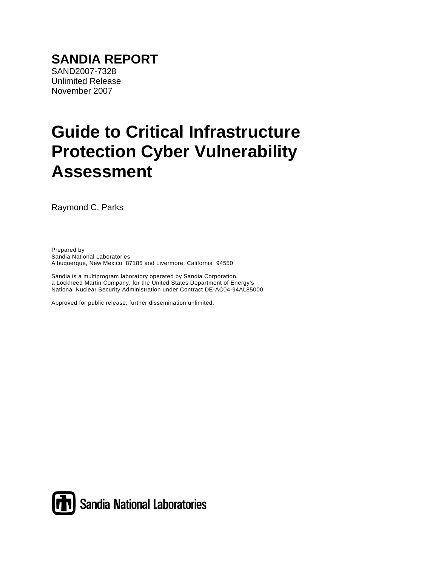# **Guide to Critical Infrastructure Protection Cyber Vulnerability Assessment**

Raymond C. Parks

Prepared by Sandia National Laboratories Albuquerque, New Mexico 87185 and Livermore, California 94550

Sandia is a multiprogram laboratory operated by Sandia Corporation, a Lockheed Martin Company, for the United States Department of Energy's National Nuclear Security Administration under Contract DE-AC04-94AL85000.

Approved for public release; further dissemination unlimited.

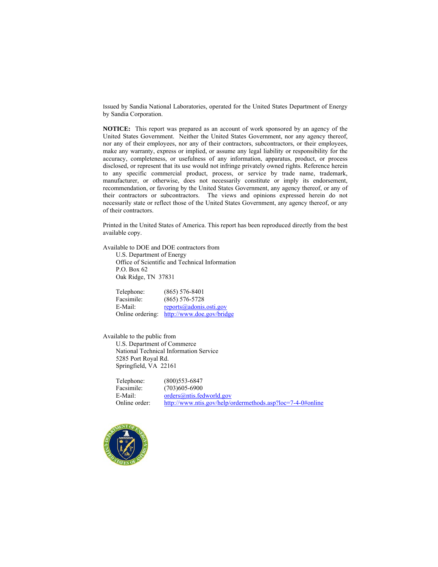Issued by Sandia National Laboratories, operated for the United States Department of Energy by Sandia Corporation.

**NOTICE:** This report was prepared as an account of work sponsored by an agency of the United States Government. Neither the United States Government, nor any agency thereof, nor any of their employees, nor any of their contractors, subcontractors, or their employees, make any warranty, express or implied, or assume any legal liability or responsibility for the accuracy, completeness, or usefulness of any information, apparatus, product, or process disclosed, or represent that its use would not infringe privately owned rights. Reference herein to any specific commercial product, process, or service by trade name, trademark, manufacturer, or otherwise, does not necessarily constitute or imply its endorsement, recommendation, or favoring by the United States Government, any agency thereof, or any of their contractors or subcontractors. The views and opinions expressed herein do not necessarily state or reflect those of the United States Government, any agency thereof, or any of their contractors.

Printed in the United States of America. This report has been reproduced directly from the best available copy.

Available to DOE and DOE contractors from

 U.S. Department of Energy Office of Scientific and Technical Information P.O. Box 62 Oak Ridge, TN 37831

| Telephone:       | $(865)$ 576-8401          |
|------------------|---------------------------|
| Facsimile:       | $(865)$ 576-5728          |
| E-Mail:          | reports@adonis.osti.gov   |
| Online ordering: | http://www.doe.gov/bridge |

Available to the public from U.S. Department of Commerce National Technical Information Service 5285 Port Royal Rd. Springfield, VA 22161

| Telephone:    | $(800)$ 553-6847                                           |
|---------------|------------------------------------------------------------|
| Facsimile:    | $(703)605 - 6900$                                          |
| E-Mail:       | orders@ntis.fedworld.gov                                   |
| Online order: | http://www.ntis.gov/help/ordermethods.asp?loc=7-4-0#online |
|               |                                                            |

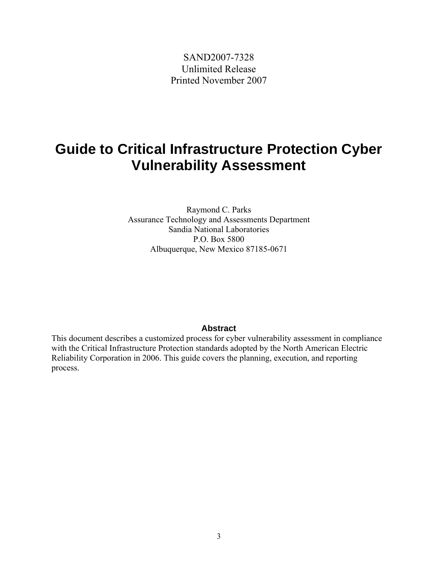SAND2007-7328 Unlimited Release Printed November 2007

## **Guide to Critical Infrastructure Protection Cyber Vulnerability Assessment**

Raymond C. Parks Assurance Technology and Assessments Department Sandia National Laboratories P.O. Box 5800 Albuquerque, New Mexico 87185-0671

#### **Abstract**

This document describes a customized process for cyber vulnerability assessment in compliance with the Critical Infrastructure Protection standards adopted by the North American Electric Reliability Corporation in 2006. This guide covers the planning, execution, and reporting process.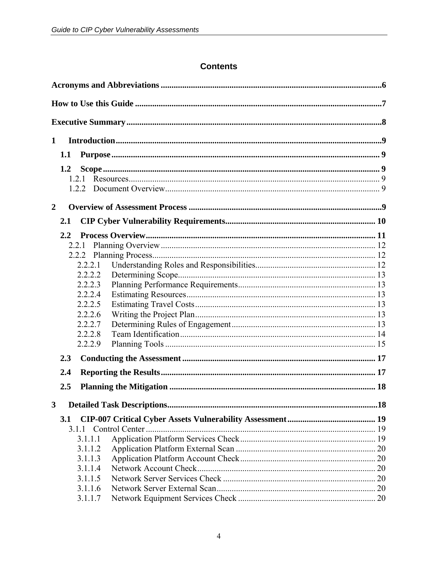#### **Contents**

| $\mathbf{1}$   |         |  |
|----------------|---------|--|
|                | 1.1     |  |
|                | 1.2     |  |
|                | 1.2.1   |  |
|                | 1.2.2   |  |
|                |         |  |
| $\overline{2}$ |         |  |
|                | 2.1     |  |
|                | $2.2\,$ |  |
|                | 2.2.1   |  |
|                |         |  |
|                | 2.2.2.1 |  |
|                | 2.2.2.2 |  |
|                | 2.2.2.3 |  |
|                | 2.2.2.4 |  |
|                | 2.2.2.5 |  |
|                | 2.2.2.6 |  |
|                | 2.2.2.7 |  |
|                | 2.2.2.8 |  |
|                | 2.2.2.9 |  |
|                | 2.3     |  |
|                | 2.4     |  |
|                | 2.5     |  |
|                |         |  |
| 3              |         |  |
|                | 3.1     |  |
|                |         |  |
|                | 3.1.1.1 |  |
|                | 3.1.1.2 |  |
|                | 3.1.1.3 |  |
|                | 3.1.1.4 |  |
|                | 3.1.1.5 |  |
|                | 3.1.1.6 |  |
|                | 3.1.1.7 |  |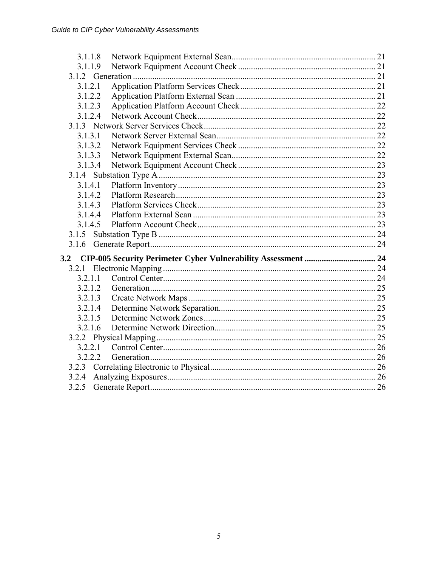| 3.1.1.8 |                                                               |
|---------|---------------------------------------------------------------|
| 3.1.1.9 |                                                               |
|         |                                                               |
| 3.1.2.1 |                                                               |
| 3.1.2.2 |                                                               |
| 3.1.2.3 |                                                               |
| 3.1.2.4 |                                                               |
|         |                                                               |
| 3.1.3.1 |                                                               |
| 3.1.3.2 |                                                               |
| 3.1.3.3 |                                                               |
| 3.1.3.4 |                                                               |
|         |                                                               |
| 3.1.4.1 |                                                               |
| 3.1.4.2 |                                                               |
| 3.1.4.3 |                                                               |
| 3.1.4.4 |                                                               |
| 3.1.4.5 |                                                               |
|         |                                                               |
|         |                                                               |
|         |                                                               |
|         |                                                               |
| 3.2.1.1 |                                                               |
| 3.2.1.2 |                                                               |
| 3.2.1.3 |                                                               |
| 3.2.1.4 |                                                               |
| 3.2.1.5 |                                                               |
| 3.2.1.6 |                                                               |
|         |                                                               |
| 3.2.2.1 |                                                               |
| 3.2.2.2 |                                                               |
|         |                                                               |
| 3.2.4   |                                                               |
|         |                                                               |
|         | CIP-005 Security Perimeter Cyber Vulnerability Assessment  24 |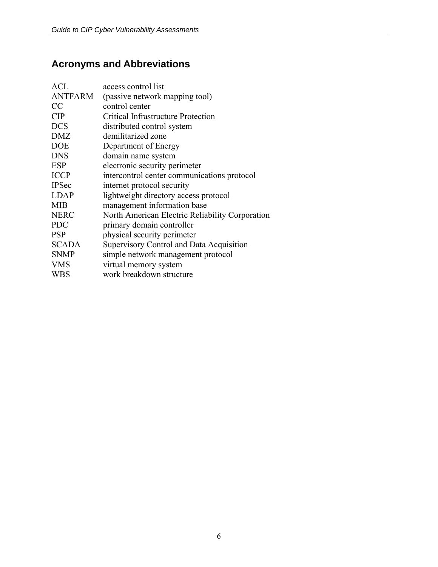## <span id="page-5-0"></span>**Acronyms and Abbreviations**

| <b>ACL</b>     | access control list                             |
|----------------|-------------------------------------------------|
| <b>ANTFARM</b> | (passive network mapping tool)                  |
| CC             | control center                                  |
| <b>CIP</b>     | <b>Critical Infrastructure Protection</b>       |
| <b>DCS</b>     | distributed control system                      |
| <b>DMZ</b>     | demilitarized zone                              |
| <b>DOE</b>     | Department of Energy                            |
| <b>DNS</b>     | domain name system                              |
| <b>ESP</b>     | electronic security perimeter                   |
| <b>ICCP</b>    | intercontrol center communications protocol     |
| <b>IPSec</b>   | internet protocol security                      |
| <b>LDAP</b>    | lightweight directory access protocol           |
| <b>MIB</b>     | management information base                     |
| <b>NERC</b>    | North American Electric Reliability Corporation |
| <b>PDC</b>     | primary domain controller                       |
| <b>PSP</b>     | physical security perimeter                     |
| <b>SCADA</b>   | Supervisory Control and Data Acquisition        |
| <b>SNMP</b>    | simple network management protocol              |
| <b>VMS</b>     | virtual memory system                           |
| WBS            | work breakdown structure                        |
|                |                                                 |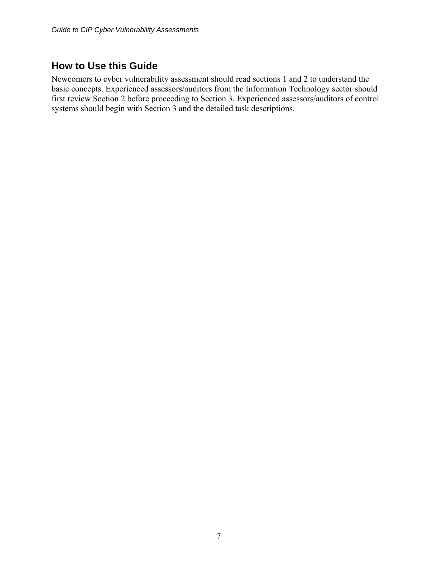## <span id="page-6-0"></span>**How to Use this Guide**

Newcomers to cyber vulnerability assessment should read sections 1 and 2 to understand the basic concepts. Experienced assessors/auditors from the Information Technology sector should first review Section 2 before proceeding to Section 3. Experienced assessors/auditors of control systems should begin with Section 3 and the detailed task descriptions.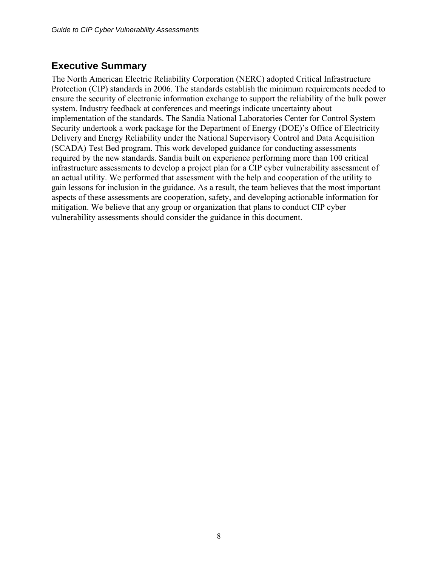## <span id="page-7-0"></span>**Executive Summary**

The North American Electric Reliability Corporation (NERC) adopted Critical Infrastructure Protection (CIP) standards in 2006. The standards establish the minimum requirements needed to ensure the security of electronic information exchange to support the reliability of the bulk power system. Industry feedback at conferences and meetings indicate uncertainty about implementation of the standards. The Sandia National Laboratories Center for Control System Security undertook a work package for the Department of Energy (DOE)'s Office of Electricity Delivery and Energy Reliability under the National Supervisory Control and Data Acquisition (SCADA) Test Bed program. This work developed guidance for conducting assessments required by the new standards. Sandia built on experience performing more than 100 critical infrastructure assessments to develop a project plan for a CIP cyber vulnerability assessment of an actual utility. We performed that assessment with the help and cooperation of the utility to gain lessons for inclusion in the guidance. As a result, the team believes that the most important aspects of these assessments are cooperation, safety, and developing actionable information for mitigation. We believe that any group or organization that plans to conduct CIP cyber vulnerability assessments should consider the guidance in this document.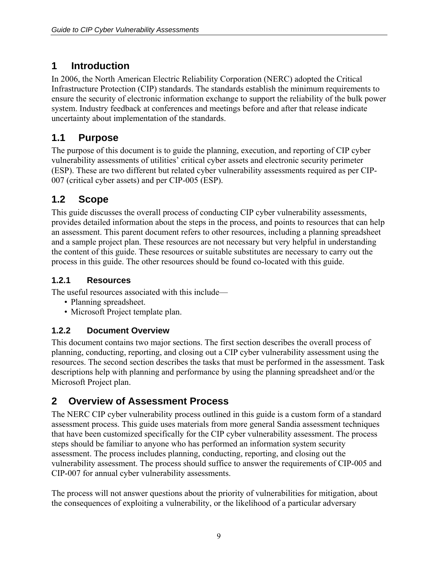## <span id="page-8-0"></span>**1 Introduction**

In 2006, the North American Electric Reliability Corporation (NERC) adopted the Critical Infrastructure Protection (CIP) standards. The standards establish the minimum requirements to ensure the security of electronic information exchange to support the reliability of the bulk power system. Industry feedback at conferences and meetings before and after that release indicate uncertainty about implementation of the standards.

## **1.1 Purpose**

The purpose of this document is to guide the planning, execution, and reporting of CIP cyber vulnerability assessments of utilities' critical cyber assets and electronic security perimeter (ESP). These are two different but related cyber vulnerability assessments required as per CIP-007 (critical cyber assets) and per CIP-005 (ESP).

## **1.2 Scope**

This guide discusses the overall process of conducting CIP cyber vulnerability assessments, provides detailed information about the steps in the process, and points to resources that can help an assessment. This parent document refers to other resources, including a planning spreadsheet and a sample project plan. These resources are not necessary but very helpful in understanding the content of this guide. These resources or suitable substitutes are necessary to carry out the process in this guide. The other resources should be found co-located with this guide.

## **1.2.1 Resources**

The useful resources associated with this include—

- Planning spreadsheet.
- Microsoft Project template plan.

#### **1.2.2 Document Overview**

This document contains two major sections. The first section describes the overall process of planning, conducting, reporting, and closing out a CIP cyber vulnerability assessment using the resources. The second section describes the tasks that must be performed in the assessment. Task descriptions help with planning and performance by using the planning spreadsheet and/or the Microsoft Project plan.

## **2 Overview of Assessment Process**

The NERC CIP cyber vulnerability process outlined in this guide is a custom form of a standard assessment process. This guide uses materials from more general Sandia assessment techniques that have been customized specifically for the CIP cyber vulnerability assessment. The process steps should be familiar to anyone who has performed an information system security assessment. The process includes planning, conducting, reporting, and closing out the vulnerability assessment. The process should suffice to answer the requirements of CIP-005 and CIP-007 for annual cyber vulnerability assessments.

The process will not answer questions about the priority of vulnerabilities for mitigation, about the consequences of exploiting a vulnerability, or the likelihood of a particular adversary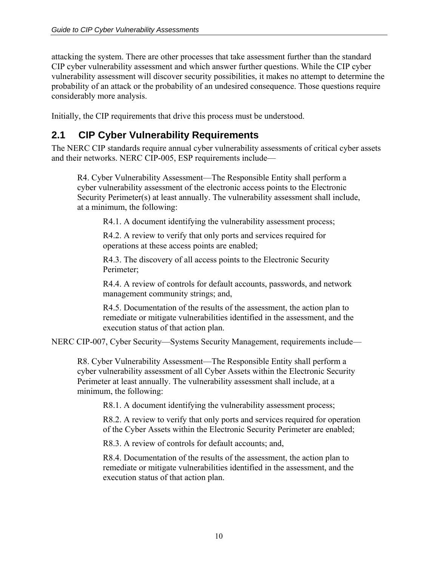<span id="page-9-0"></span>attacking the system. There are other processes that take assessment further than the standard CIP cyber vulnerability assessment and which answer further questions. While the CIP cyber vulnerability assessment will discover security possibilities, it makes no attempt to determine the probability of an attack or the probability of an undesired consequence. Those questions require considerably more analysis.

Initially, the CIP requirements that drive this process must be understood.

## **2.1 CIP Cyber Vulnerability Requirements**

The NERC CIP standards require annual cyber vulnerability assessments of critical cyber assets and their networks. NERC CIP-005, ESP requirements include—

R4. Cyber Vulnerability Assessment—The Responsible Entity shall perform a cyber vulnerability assessment of the electronic access points to the Electronic Security Perimeter(s) at least annually. The vulnerability assessment shall include, at a minimum, the following:

R4.1. A document identifying the vulnerability assessment process;

R4.2. A review to verify that only ports and services required for operations at these access points are enabled;

R4.3. The discovery of all access points to the Electronic Security Perimeter;

R4.4. A review of controls for default accounts, passwords, and network management community strings; and,

R4.5. Documentation of the results of the assessment, the action plan to remediate or mitigate vulnerabilities identified in the assessment, and the execution status of that action plan.

NERC CIP-007, Cyber Security—Systems Security Management, requirements include—

R8. Cyber Vulnerability Assessment—The Responsible Entity shall perform a cyber vulnerability assessment of all Cyber Assets within the Electronic Security Perimeter at least annually. The vulnerability assessment shall include, at a minimum, the following:

R8.1. A document identifying the vulnerability assessment process;

R8.2. A review to verify that only ports and services required for operation of the Cyber Assets within the Electronic Security Perimeter are enabled;

R8.3. A review of controls for default accounts; and,

R8.4. Documentation of the results of the assessment, the action plan to remediate or mitigate vulnerabilities identified in the assessment, and the execution status of that action plan.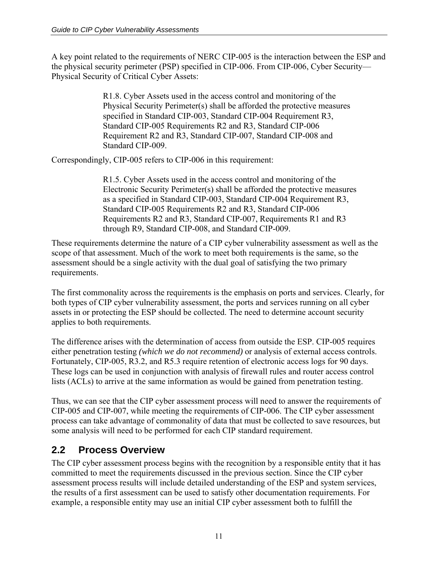<span id="page-10-0"></span>A key point related to the requirements of NERC CIP-005 is the interaction between the ESP and the physical security perimeter (PSP) specified in CIP-006. From CIP-006, Cyber Security— Physical Security of Critical Cyber Assets:

> R1.8. Cyber Assets used in the access control and monitoring of the Physical Security Perimeter(s) shall be afforded the protective measures specified in Standard CIP-003, Standard CIP-004 Requirement R3, Standard CIP-005 Requirements R2 and R3, Standard CIP-006 Requirement R2 and R3, Standard CIP-007, Standard CIP-008 and Standard CIP-009.

Correspondingly, CIP-005 refers to CIP-006 in this requirement:

R1.5. Cyber Assets used in the access control and monitoring of the Electronic Security Perimeter(s) shall be afforded the protective measures as a specified in Standard CIP-003, Standard CIP-004 Requirement R3, Standard CIP-005 Requirements R2 and R3, Standard CIP-006 Requirements R2 and R3, Standard CIP-007, Requirements R1 and R3 through R9, Standard CIP-008, and Standard CIP-009.

These requirements determine the nature of a CIP cyber vulnerability assessment as well as the scope of that assessment. Much of the work to meet both requirements is the same, so the assessment should be a single activity with the dual goal of satisfying the two primary requirements.

The first commonality across the requirements is the emphasis on ports and services. Clearly, for both types of CIP cyber vulnerability assessment, the ports and services running on all cyber assets in or protecting the ESP should be collected. The need to determine account security applies to both requirements.

The difference arises with the determination of access from outside the ESP. CIP-005 requires either penetration testing *(which we do not recommend)* or analysis of external access controls. Fortunately, CIP-005, R3.2, and R5.3 require retention of electronic access logs for 90 days. These logs can be used in conjunction with analysis of firewall rules and router access control lists (ACLs) to arrive at the same information as would be gained from penetration testing.

Thus, we can see that the CIP cyber assessment process will need to answer the requirements of CIP-005 and CIP-007, while meeting the requirements of CIP-006. The CIP cyber assessment process can take advantage of commonality of data that must be collected to save resources, but some analysis will need to be performed for each CIP standard requirement.

## **2.2 Process Overview**

The CIP cyber assessment process begins with the recognition by a responsible entity that it has committed to meet the requirements discussed in the previous section. Since the CIP cyber assessment process results will include detailed understanding of the ESP and system services, the results of a first assessment can be used to satisfy other documentation requirements. For example, a responsible entity may use an initial CIP cyber assessment both to fulfill the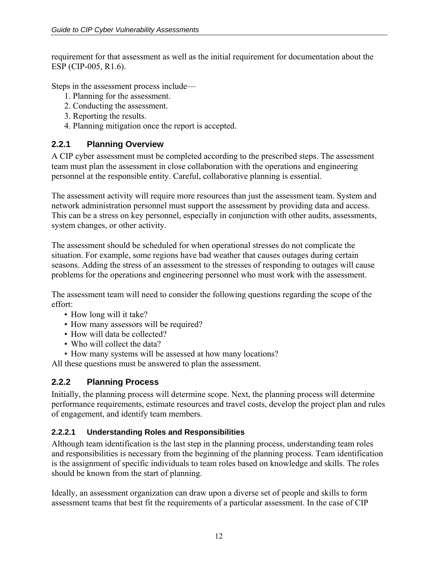<span id="page-11-0"></span>requirement for that assessment as well as the initial requirement for documentation about the ESP (CIP-005, R1.6).

Steps in the assessment process include—

- 1. Planning for the assessment.
- 2. Conducting the assessment.
- 3. Reporting the results.
- 4. Planning mitigation once the report is accepted.

#### **2.2.1 Planning Overview**

A CIP cyber assessment must be completed according to the prescribed steps. The assessment team must plan the assessment in close collaboration with the operations and engineering personnel at the responsible entity. Careful, collaborative planning is essential.

The assessment activity will require more resources than just the assessment team. System and network administration personnel must support the assessment by providing data and access. This can be a stress on key personnel, especially in conjunction with other audits, assessments, system changes, or other activity.

The assessment should be scheduled for when operational stresses do not complicate the situation. For example, some regions have bad weather that causes outages during certain seasons. Adding the stress of an assessment to the stresses of responding to outages will cause problems for the operations and engineering personnel who must work with the assessment.

The assessment team will need to consider the following questions regarding the scope of the effort:

- How long will it take?
- How many assessors will be required?
- How will data be collected?
- Who will collect the data?
- How many systems will be assessed at how many locations?

All these questions must be answered to plan the assessment.

#### **2.2.2 Planning Process**

Initially, the planning process will determine scope. Next, the planning process will determine performance requirements, estimate resources and travel costs, develop the project plan and rules of engagement, and identify team members.

#### **2.2.2.1 Understanding Roles and Responsibilities**

Although team identification is the last step in the planning process, understanding team roles and responsibilities is necessary from the beginning of the planning process. Team identification is the assignment of specific individuals to team roles based on knowledge and skills. The roles should be known from the start of planning.

Ideally, an assessment organization can draw upon a diverse set of people and skills to form assessment teams that best fit the requirements of a particular assessment. In the case of CIP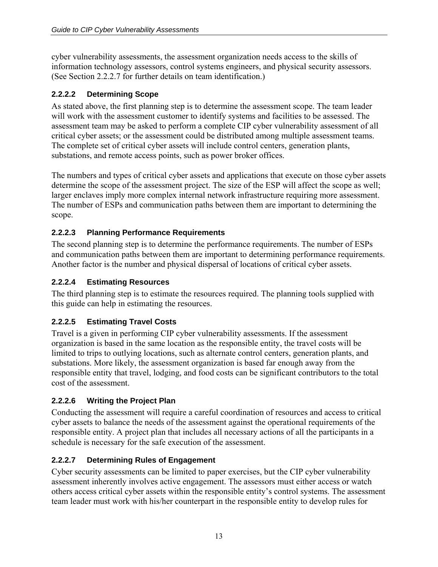<span id="page-12-0"></span>cyber vulnerability assessments, the assessment organization needs access to the skills of information technology assessors, control systems engineers, and physical security assessors. (See Section 2.2.2.7 for further details on team identification.)

#### **2.2.2.2 Determining Scope**

As stated above, the first planning step is to determine the assessment scope. The team leader will work with the assessment customer to identify systems and facilities to be assessed. The assessment team may be asked to perform a complete CIP cyber vulnerability assessment of all critical cyber assets; or the assessment could be distributed among multiple assessment teams. The complete set of critical cyber assets will include control centers, generation plants, substations, and remote access points, such as power broker offices.

The numbers and types of critical cyber assets and applications that execute on those cyber assets determine the scope of the assessment project. The size of the ESP will affect the scope as well; larger enclaves imply more complex internal network infrastructure requiring more assessment. The number of ESPs and communication paths between them are important to determining the scope.

#### **2.2.2.3 Planning Performance Requirements**

The second planning step is to determine the performance requirements. The number of ESPs and communication paths between them are important to determining performance requirements. Another factor is the number and physical dispersal of locations of critical cyber assets.

#### **2.2.2.4 Estimating Resources**

The third planning step is to estimate the resources required. The planning tools supplied with this guide can help in estimating the resources.

#### **2.2.2.5 Estimating Travel Costs**

Travel is a given in performing CIP cyber vulnerability assessments. If the assessment organization is based in the same location as the responsible entity, the travel costs will be limited to trips to outlying locations, such as alternate control centers, generation plants, and substations. More likely, the assessment organization is based far enough away from the responsible entity that travel, lodging, and food costs can be significant contributors to the total cost of the assessment.

#### **2.2.2.6 Writing the Project Plan**

Conducting the assessment will require a careful coordination of resources and access to critical cyber assets to balance the needs of the assessment against the operational requirements of the responsible entity. A project plan that includes all necessary actions of all the participants in a schedule is necessary for the safe execution of the assessment.

#### **2.2.2.7 Determining Rules of Engagement**

Cyber security assessments can be limited to paper exercises, but the CIP cyber vulnerability assessment inherently involves active engagement. The assessors must either access or watch others access critical cyber assets within the responsible entity's control systems. The assessment team leader must work with his/her counterpart in the responsible entity to develop rules for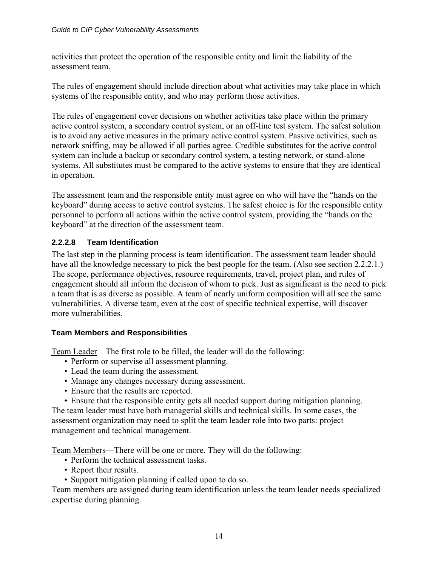<span id="page-13-0"></span>activities that protect the operation of the responsible entity and limit the liability of the assessment team.

The rules of engagement should include direction about what activities may take place in which systems of the responsible entity, and who may perform those activities.

The rules of engagement cover decisions on whether activities take place within the primary active control system, a secondary control system, or an off-line test system. The safest solution is to avoid any active measures in the primary active control system. Passive activities, such as network sniffing, may be allowed if all parties agree. Credible substitutes for the active control system can include a backup or secondary control system, a testing network, or stand-alone systems. All substitutes must be compared to the active systems to ensure that they are identical in operation.

The assessment team and the responsible entity must agree on who will have the "hands on the keyboard" during access to active control systems. The safest choice is for the responsible entity personnel to perform all actions within the active control system, providing the "hands on the keyboard" at the direction of the assessment team.

#### **2.2.2.8 Team Identification**

The last step in the planning process is team identification. The assessment team leader should have all the knowledge necessary to pick the best people for the team. (Also see section 2.2.2.1.) The scope, performance objectives, resource requirements, travel, project plan, and rules of engagement should all inform the decision of whom to pick. Just as significant is the need to pick a team that is as diverse as possible. A team of nearly uniform composition will all see the same vulnerabilities. A diverse team, even at the cost of specific technical expertise, will discover more vulnerabilities.

#### **Team Members and Responsibilities**

Team Leader—The first role to be filled, the leader will do the following:

- Perform or supervise all assessment planning.
- Lead the team during the assessment.
- Manage any changes necessary during assessment.
- Ensure that the results are reported.

• Ensure that the responsible entity gets all needed support during mitigation planning. The team leader must have both managerial skills and technical skills. In some cases, the assessment organization may need to split the team leader role into two parts: project management and technical management.

Team Members—There will be one or more. They will do the following:

- Perform the technical assessment tasks.
- Report their results.
- Support mitigation planning if called upon to do so.

Team members are assigned during team identification unless the team leader needs specialized expertise during planning.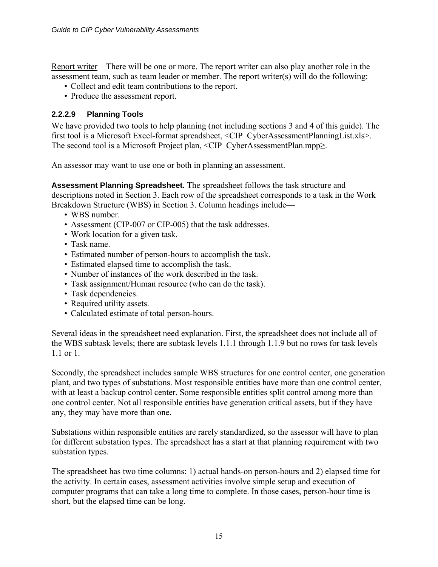<span id="page-14-0"></span>Report writer—There will be one or more. The report writer can also play another role in the assessment team, such as team leader or member. The report writer(s) will do the following:

- Collect and edit team contributions to the report.
- Produce the assessment report.

#### **2.2.2.9 Planning Tools**

We have provided two tools to help planning (not including sections 3 and 4 of this guide). The first tool is a Microsoft Excel-format spreadsheet, <CIP\_CyberAssessmentPlanningList.xls>. The second tool is a Microsoft Project plan,  $\leq$ CIP\_CyberAssessmentPlan.mpp $\geq$ .

An assessor may want to use one or both in planning an assessment.

**Assessment Planning Spreadsheet.** The spreadsheet follows the task structure and descriptions noted in Section 3. Each row of the spreadsheet corresponds to a task in the Work Breakdown Structure (WBS) in Section 3. Column headings include—

- WBS number
- Assessment (CIP-007 or CIP-005) that the task addresses.
- Work location for a given task.
- Task name.
- Estimated number of person-hours to accomplish the task.
- Estimated elapsed time to accomplish the task.
- Number of instances of the work described in the task.
- Task assignment/Human resource (who can do the task).
- Task dependencies.
- Required utility assets.
- Calculated estimate of total person-hours.

Several ideas in the spreadsheet need explanation. First, the spreadsheet does not include all of the WBS subtask levels; there are subtask levels 1.1.1 through 1.1.9 but no rows for task levels 1.1 or 1.

Secondly, the spreadsheet includes sample WBS structures for one control center, one generation plant, and two types of substations. Most responsible entities have more than one control center, with at least a backup control center. Some responsible entities split control among more than one control center. Not all responsible entities have generation critical assets, but if they have any, they may have more than one.

Substations within responsible entities are rarely standardized, so the assessor will have to plan for different substation types. The spreadsheet has a start at that planning requirement with two substation types.

The spreadsheet has two time columns: 1) actual hands-on person-hours and 2) elapsed time for the activity. In certain cases, assessment activities involve simple setup and execution of computer programs that can take a long time to complete. In those cases, person-hour time is short, but the elapsed time can be long.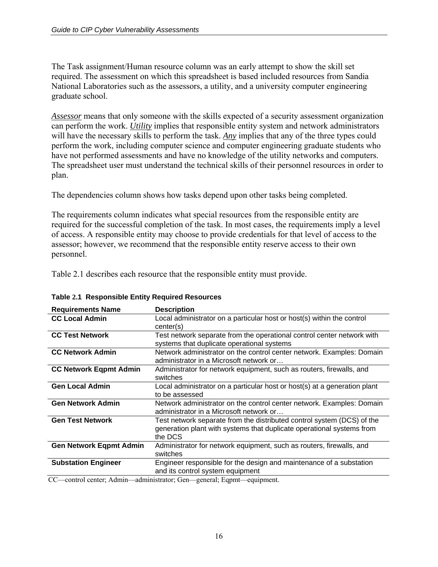The Task assignment/Human resource column was an early attempt to show the skill set required. The assessment on which this spreadsheet is based included resources from Sandia National Laboratories such as the assessors, a utility, and a university computer engineering graduate school.

*Assessor* means that only someone with the skills expected of a security assessment organization can perform the work. *Utility* implies that responsible entity system and network administrators will have the necessary skills to perform the task. Any implies that any of the three types could perform the work, including computer science and computer engineering graduate students who have not performed assessments and have no knowledge of the utility networks and computers. The spreadsheet user must understand the technical skills of their personnel resources in order to plan.

The dependencies column shows how tasks depend upon other tasks being completed.

The requirements column indicates what special resources from the responsible entity are required for the successful completion of the task. In most cases, the requirements imply a level of access. A responsible entity may choose to provide credentials for that level of access to the assessor; however, we recommend that the responsible entity reserve access to their own personnel.

Table 2.1 describes each resource that the responsible entity must provide.

| <b>Requirements Name</b>                                                       | <b>Description</b>                                                                                                                                         |
|--------------------------------------------------------------------------------|------------------------------------------------------------------------------------------------------------------------------------------------------------|
| <b>CC Local Admin</b>                                                          | Local administrator on a particular host or host(s) within the control                                                                                     |
|                                                                                | center(s)                                                                                                                                                  |
| <b>CC Test Network</b>                                                         | Test network separate from the operational control center network with<br>systems that duplicate operational systems                                       |
| <b>CC Network Admin</b>                                                        | Network administrator on the control center network. Examples: Domain<br>administrator in a Microsoft network or                                           |
| <b>CC Network Eqpmt Admin</b>                                                  | Administrator for network equipment, such as routers, firewalls, and<br>switches                                                                           |
| <b>Gen Local Admin</b>                                                         | Local administrator on a particular host or host(s) at a generation plant<br>to be assessed                                                                |
| <b>Gen Network Admin</b>                                                       | Network administrator on the control center network. Examples: Domain<br>administrator in a Microsoft network or                                           |
| <b>Gen Test Network</b>                                                        | Test network separate from the distributed control system (DCS) of the<br>generation plant with systems that duplicate operational systems from<br>the DCS |
| <b>Gen Network Eqpmt Admin</b>                                                 | Administrator for network equipment, such as routers, firewalls, and<br>switches                                                                           |
| <b>Substation Engineer</b><br>$\cdots$<br>$\sim$ $\sim$<br>$\sim$ 1.000 $\sim$ | Engineer responsible for the design and maintenance of a substation<br>and its control system equipment                                                    |

**Table 2.1 Responsible Entity Required Resources**

CC—control center; Admin—administrator; Gen—general; Eqpmt—equipment.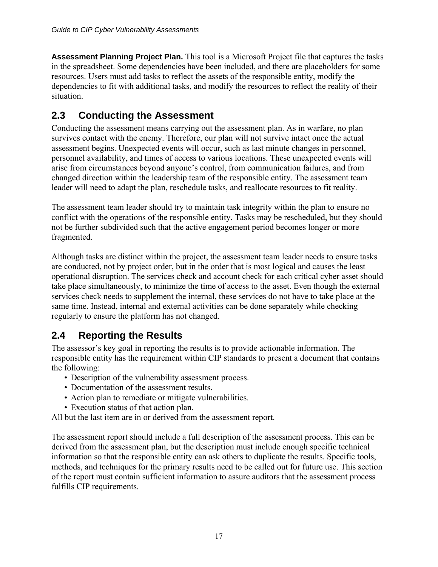<span id="page-16-0"></span>**Assessment Planning Project Plan.** This tool is a Microsoft Project file that captures the tasks in the spreadsheet. Some dependencies have been included, and there are placeholders for some resources. Users must add tasks to reflect the assets of the responsible entity, modify the dependencies to fit with additional tasks, and modify the resources to reflect the reality of their situation.

## **2.3 Conducting the Assessment**

Conducting the assessment means carrying out the assessment plan. As in warfare, no plan survives contact with the enemy. Therefore, our plan will not survive intact once the actual assessment begins. Unexpected events will occur, such as last minute changes in personnel, personnel availability, and times of access to various locations. These unexpected events will arise from circumstances beyond anyone's control, from communication failures, and from changed direction within the leadership team of the responsible entity. The assessment team leader will need to adapt the plan, reschedule tasks, and reallocate resources to fit reality.

The assessment team leader should try to maintain task integrity within the plan to ensure no conflict with the operations of the responsible entity. Tasks may be rescheduled, but they should not be further subdivided such that the active engagement period becomes longer or more fragmented.

Although tasks are distinct within the project, the assessment team leader needs to ensure tasks are conducted, not by project order, but in the order that is most logical and causes the least operational disruption. The services check and account check for each critical cyber asset should take place simultaneously, to minimize the time of access to the asset. Even though the external services check needs to supplement the internal, these services do not have to take place at the same time. Instead, internal and external activities can be done separately while checking regularly to ensure the platform has not changed.

## **2.4 Reporting the Results**

The assessor's key goal in reporting the results is to provide actionable information. The responsible entity has the requirement within CIP standards to present a document that contains the following:

- Description of the vulnerability assessment process.
- Documentation of the assessment results.
- Action plan to remediate or mitigate vulnerabilities.
- Execution status of that action plan.

All but the last item are in or derived from the assessment report.

The assessment report should include a full description of the assessment process. This can be derived from the assessment plan, but the description must include enough specific technical information so that the responsible entity can ask others to duplicate the results. Specific tools, methods, and techniques for the primary results need to be called out for future use. This section of the report must contain sufficient information to assure auditors that the assessment process fulfills CIP requirements.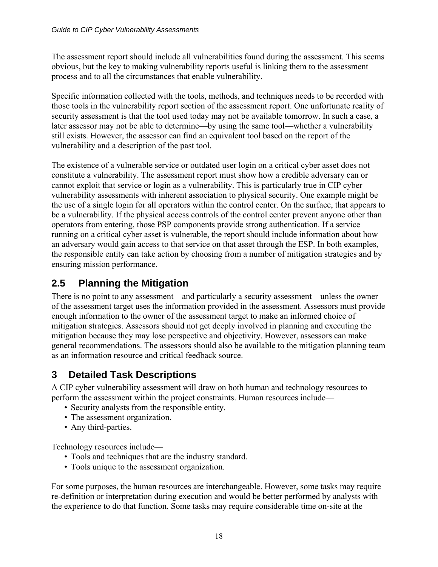<span id="page-17-0"></span>The assessment report should include all vulnerabilities found during the assessment. This seems obvious, but the key to making vulnerability reports useful is linking them to the assessment process and to all the circumstances that enable vulnerability.

Specific information collected with the tools, methods, and techniques needs to be recorded with those tools in the vulnerability report section of the assessment report. One unfortunate reality of security assessment is that the tool used today may not be available tomorrow. In such a case, a later assessor may not be able to determine—by using the same tool—whether a vulnerability still exists. However, the assessor can find an equivalent tool based on the report of the vulnerability and a description of the past tool.

The existence of a vulnerable service or outdated user login on a critical cyber asset does not constitute a vulnerability. The assessment report must show how a credible adversary can or cannot exploit that service or login as a vulnerability. This is particularly true in CIP cyber vulnerability assessments with inherent association to physical security. One example might be the use of a single login for all operators within the control center. On the surface, that appears to be a vulnerability. If the physical access controls of the control center prevent anyone other than operators from entering, those PSP components provide strong authentication. If a service running on a critical cyber asset is vulnerable, the report should include information about how an adversary would gain access to that service on that asset through the ESP. In both examples, the responsible entity can take action by choosing from a number of mitigation strategies and by ensuring mission performance.

## **2.5 Planning the Mitigation**

There is no point to any assessment—and particularly a security assessment—unless the owner of the assessment target uses the information provided in the assessment. Assessors must provide enough information to the owner of the assessment target to make an informed choice of mitigation strategies. Assessors should not get deeply involved in planning and executing the mitigation because they may lose perspective and objectivity. However, assessors can make general recommendations. The assessors should also be available to the mitigation planning team as an information resource and critical feedback source.

## **3 Detailed Task Descriptions**

A CIP cyber vulnerability assessment will draw on both human and technology resources to perform the assessment within the project constraints. Human resources include—

- Security analysts from the responsible entity.
- The assessment organization.
- Any third-parties.

Technology resources include—

- Tools and techniques that are the industry standard.
- Tools unique to the assessment organization.

For some purposes, the human resources are interchangeable. However, some tasks may require re-definition or interpretation during execution and would be better performed by analysts with the experience to do that function. Some tasks may require considerable time on-site at the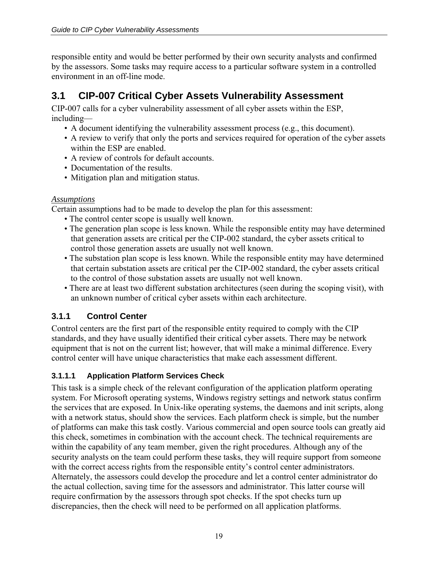<span id="page-18-0"></span>responsible entity and would be better performed by their own security analysts and confirmed by the assessors. Some tasks may require access to a particular software system in a controlled environment in an off-line mode.

## **3.1 CIP-007 Critical Cyber Assets Vulnerability Assessment**

CIP-007 calls for a cyber vulnerability assessment of all cyber assets within the ESP, including—

- A document identifying the vulnerability assessment process (e.g., this document).
- A review to verify that only the ports and services required for operation of the cyber assets within the ESP are enabled.
- A review of controls for default accounts.
- Documentation of the results.
- Mitigation plan and mitigation status.

#### *Assumptions*

Certain assumptions had to be made to develop the plan for this assessment:

- The control center scope is usually well known.
- The generation plan scope is less known. While the responsible entity may have determined that generation assets are critical per the CIP-002 standard, the cyber assets critical to control those generation assets are usually not well known.
- The substation plan scope is less known. While the responsible entity may have determined that certain substation assets are critical per the CIP-002 standard, the cyber assets critical to the control of those substation assets are usually not well known.
- There are at least two different substation architectures (seen during the scoping visit), with an unknown number of critical cyber assets within each architecture.

#### **3.1.1 Control Center**

Control centers are the first part of the responsible entity required to comply with the CIP standards, and they have usually identified their critical cyber assets. There may be network equipment that is not on the current list; however, that will make a minimal difference. Every control center will have unique characteristics that make each assessment different.

#### **3.1.1.1 Application Platform Services Check**

This task is a simple check of the relevant configuration of the application platform operating system. For Microsoft operating systems, Windows registry settings and network status confirm the services that are exposed. In Unix-like operating systems, the daemons and init scripts, along with a network status, should show the services. Each platform check is simple, but the number of platforms can make this task costly. Various commercial and open source tools can greatly aid this check, sometimes in combination with the account check. The technical requirements are within the capability of any team member, given the right procedures. Although any of the security analysts on the team could perform these tasks, they will require support from someone with the correct access rights from the responsible entity's control center administrators. Alternately, the assessors could develop the procedure and let a control center administrator do the actual collection, saving time for the assessors and administrator. This latter course will require confirmation by the assessors through spot checks. If the spot checks turn up discrepancies, then the check will need to be performed on all application platforms.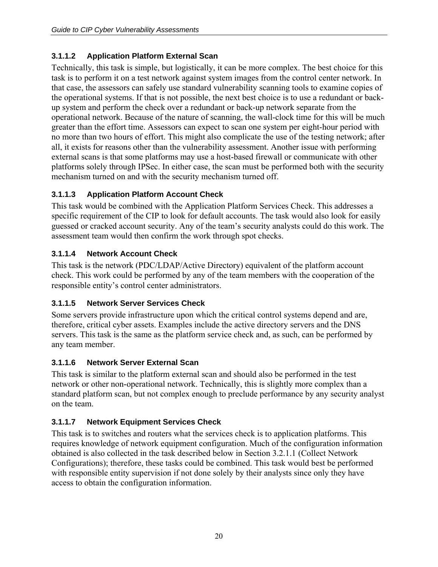#### <span id="page-19-0"></span>**3.1.1.2 Application Platform External Scan**

Technically, this task is simple, but logistically, it can be more complex. The best choice for this task is to perform it on a test network against system images from the control center network. In that case, the assessors can safely use standard vulnerability scanning tools to examine copies of the operational systems. If that is not possible, the next best choice is to use a redundant or backup system and perform the check over a redundant or back-up network separate from the operational network. Because of the nature of scanning, the wall-clock time for this will be much greater than the effort time. Assessors can expect to scan one system per eight-hour period with no more than two hours of effort. This might also complicate the use of the testing network; after all, it exists for reasons other than the vulnerability assessment. Another issue with performing external scans is that some platforms may use a host-based firewall or communicate with other platforms solely through IPSec. In either case, the scan must be performed both with the security mechanism turned on and with the security mechanism turned off.

#### **3.1.1.3 Application Platform Account Check**

This task would be combined with the Application Platform Services Check. This addresses a specific requirement of the CIP to look for default accounts. The task would also look for easily guessed or cracked account security. Any of the team's security analysts could do this work. The assessment team would then confirm the work through spot checks.

#### **3.1.1.4 Network Account Check**

This task is the network (PDC/LDAP/Active Directory) equivalent of the platform account check. This work could be performed by any of the team members with the cooperation of the responsible entity's control center administrators.

#### **3.1.1.5 Network Server Services Check**

Some servers provide infrastructure upon which the critical control systems depend and are, therefore, critical cyber assets. Examples include the active directory servers and the DNS servers. This task is the same as the platform service check and, as such, can be performed by any team member.

#### **3.1.1.6 Network Server External Scan**

This task is similar to the platform external scan and should also be performed in the test network or other non-operational network. Technically, this is slightly more complex than a standard platform scan, but not complex enough to preclude performance by any security analyst on the team.

#### **3.1.1.7 Network Equipment Services Check**

This task is to switches and routers what the services check is to application platforms. This requires knowledge of network equipment configuration. Much of the configuration information obtained is also collected in the task described below in Section 3.2.1.1 (Collect Network Configurations); therefore, these tasks could be combined. This task would best be performed with responsible entity supervision if not done solely by their analysts since only they have access to obtain the configuration information.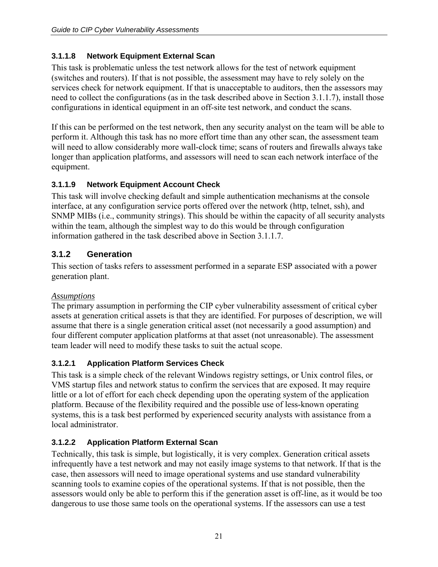#### <span id="page-20-0"></span>**3.1.1.8 Network Equipment External Scan**

This task is problematic unless the test network allows for the test of network equipment (switches and routers). If that is not possible, the assessment may have to rely solely on the services check for network equipment. If that is unacceptable to auditors, then the assessors may need to collect the configurations (as in the task described above in Section 3.1.1.7), install those configurations in identical equipment in an off-site test network, and conduct the scans.

If this can be performed on the test network, then any security analyst on the team will be able to perform it. Although this task has no more effort time than any other scan, the assessment team will need to allow considerably more wall-clock time; scans of routers and firewalls always take longer than application platforms, and assessors will need to scan each network interface of the equipment.

#### **3.1.1.9 Network Equipment Account Check**

This task will involve checking default and simple authentication mechanisms at the console interface, at any configuration service ports offered over the network (http, telnet, ssh), and SNMP MIBs (i.e., community strings). This should be within the capacity of all security analysts within the team, although the simplest way to do this would be through configuration information gathered in the task described above in Section 3.1.1.7.

#### **3.1.2 Generation**

This section of tasks refers to assessment performed in a separate ESP associated with a power generation plant.

#### *Assumptions*

The primary assumption in performing the CIP cyber vulnerability assessment of critical cyber assets at generation critical assets is that they are identified. For purposes of description, we will assume that there is a single generation critical asset (not necessarily a good assumption) and four different computer application platforms at that asset (not unreasonable). The assessment team leader will need to modify these tasks to suit the actual scope.

#### **3.1.2.1 Application Platform Services Check**

This task is a simple check of the relevant Windows registry settings, or Unix control files, or VMS startup files and network status to confirm the services that are exposed. It may require little or a lot of effort for each check depending upon the operating system of the application platform. Because of the flexibility required and the possible use of less-known operating systems, this is a task best performed by experienced security analysts with assistance from a local administrator.

#### **3.1.2.2 Application Platform External Scan**

Technically, this task is simple, but logistically, it is very complex. Generation critical assets infrequently have a test network and may not easily image systems to that network. If that is the case, then assessors will need to image operational systems and use standard vulnerability scanning tools to examine copies of the operational systems. If that is not possible, then the assessors would only be able to perform this if the generation asset is off-line, as it would be too dangerous to use those same tools on the operational systems. If the assessors can use a test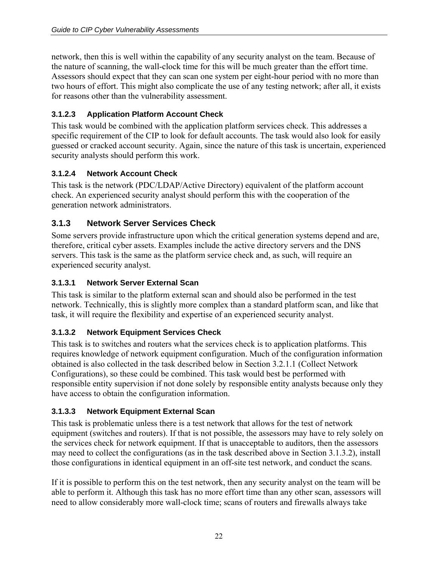<span id="page-21-0"></span>network, then this is well within the capability of any security analyst on the team. Because of the nature of scanning, the wall-clock time for this will be much greater than the effort time. Assessors should expect that they can scan one system per eight-hour period with no more than two hours of effort. This might also complicate the use of any testing network; after all, it exists for reasons other than the vulnerability assessment.

#### **3.1.2.3 Application Platform Account Check**

This task would be combined with the application platform services check. This addresses a specific requirement of the CIP to look for default accounts. The task would also look for easily guessed or cracked account security. Again, since the nature of this task is uncertain, experienced security analysts should perform this work.

#### **3.1.2.4 Network Account Check**

This task is the network (PDC/LDAP/Active Directory) equivalent of the platform account check. An experienced security analyst should perform this with the cooperation of the generation network administrators.

#### **3.1.3 Network Server Services Check**

Some servers provide infrastructure upon which the critical generation systems depend and are, therefore, critical cyber assets. Examples include the active directory servers and the DNS servers. This task is the same as the platform service check and, as such, will require an experienced security analyst.

#### **3.1.3.1 Network Server External Scan**

This task is similar to the platform external scan and should also be performed in the test network. Technically, this is slightly more complex than a standard platform scan, and like that task, it will require the flexibility and expertise of an experienced security analyst.

#### **3.1.3.2 Network Equipment Services Check**

This task is to switches and routers what the services check is to application platforms. This requires knowledge of network equipment configuration. Much of the configuration information obtained is also collected in the task described below in Section 3.2.1.1 (Collect Network Configurations), so these could be combined. This task would best be performed with responsible entity supervision if not done solely by responsible entity analysts because only they have access to obtain the configuration information.

#### **3.1.3.3 Network Equipment External Scan**

This task is problematic unless there is a test network that allows for the test of network equipment (switches and routers). If that is not possible, the assessors may have to rely solely on the services check for network equipment. If that is unacceptable to auditors, then the assessors may need to collect the configurations (as in the task described above in Section 3.1.3.2), install those configurations in identical equipment in an off-site test network, and conduct the scans.

If it is possible to perform this on the test network, then any security analyst on the team will be able to perform it. Although this task has no more effort time than any other scan, assessors will need to allow considerably more wall-clock time; scans of routers and firewalls always take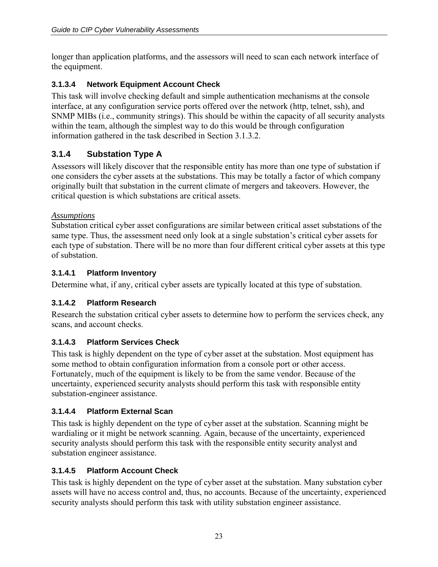<span id="page-22-0"></span>longer than application platforms, and the assessors will need to scan each network interface of the equipment.

#### **3.1.3.4 Network Equipment Account Check**

This task will involve checking default and simple authentication mechanisms at the console interface, at any configuration service ports offered over the network (http, telnet, ssh), and SNMP MIBs (i.e., community strings). This should be within the capacity of all security analysts within the team, although the simplest way to do this would be through configuration information gathered in the task described in Section 3.1.3.2.

#### **3.1.4 Substation Type A**

Assessors will likely discover that the responsible entity has more than one type of substation if one considers the cyber assets at the substations. This may be totally a factor of which company originally built that substation in the current climate of mergers and takeovers. However, the critical question is which substations are critical assets.

#### *Assumptions*

Substation critical cyber asset configurations are similar between critical asset substations of the same type. Thus, the assessment need only look at a single substation's critical cyber assets for each type of substation. There will be no more than four different critical cyber assets at this type of substation.

#### **3.1.4.1 Platform Inventory**

Determine what, if any, critical cyber assets are typically located at this type of substation.

#### **3.1.4.2 Platform Research**

Research the substation critical cyber assets to determine how to perform the services check, any scans, and account checks.

#### **3.1.4.3 Platform Services Check**

This task is highly dependent on the type of cyber asset at the substation. Most equipment has some method to obtain configuration information from a console port or other access. Fortunately, much of the equipment is likely to be from the same vendor. Because of the uncertainty, experienced security analysts should perform this task with responsible entity substation-engineer assistance.

#### **3.1.4.4 Platform External Scan**

This task is highly dependent on the type of cyber asset at the substation. Scanning might be wardialing or it might be network scanning. Again, because of the uncertainty, experienced security analysts should perform this task with the responsible entity security analyst and substation engineer assistance.

#### **3.1.4.5 Platform Account Check**

This task is highly dependent on the type of cyber asset at the substation. Many substation cyber assets will have no access control and, thus, no accounts. Because of the uncertainty, experienced security analysts should perform this task with utility substation engineer assistance.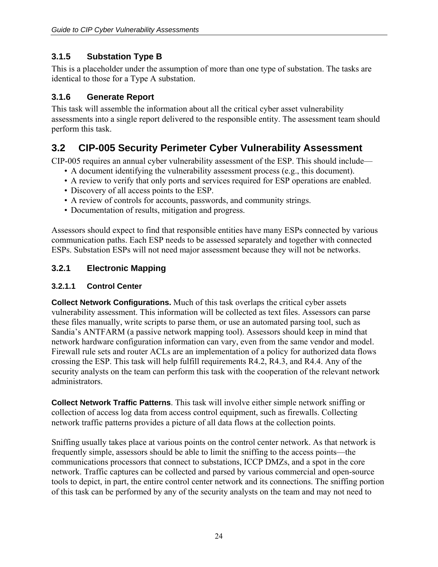#### <span id="page-23-0"></span>**3.1.5 Substation Type B**

This is a placeholder under the assumption of more than one type of substation. The tasks are identical to those for a Type A substation.

#### **3.1.6 Generate Report**

This task will assemble the information about all the critical cyber asset vulnerability assessments into a single report delivered to the responsible entity. The assessment team should perform this task.

## **3.2 CIP-005 Security Perimeter Cyber Vulnerability Assessment**

CIP-005 requires an annual cyber vulnerability assessment of the ESP. This should include—

- A document identifying the vulnerability assessment process (e.g., this document).
- A review to verify that only ports and services required for ESP operations are enabled.
- Discovery of all access points to the ESP.
- A review of controls for accounts, passwords, and community strings.
- Documentation of results, mitigation and progress.

Assessors should expect to find that responsible entities have many ESPs connected by various communication paths. Each ESP needs to be assessed separately and together with connected ESPs. Substation ESPs will not need major assessment because they will not be networks.

#### **3.2.1 Electronic Mapping**

#### **3.2.1.1 Control Center**

**Collect Network Configurations.** Much of this task overlaps the critical cyber assets vulnerability assessment. This information will be collected as text files. Assessors can parse these files manually, write scripts to parse them, or use an automated parsing tool, such as Sandia's ANTFARM (a passive network mapping tool). Assessors should keep in mind that network hardware configuration information can vary, even from the same vendor and model. Firewall rule sets and router ACLs are an implementation of a policy for authorized data flows crossing the ESP. This task will help fulfill requirements R4.2, R4.3, and R4.4. Any of the security analysts on the team can perform this task with the cooperation of the relevant network administrators.

**Collect Network Traffic Patterns**. This task will involve either simple network sniffing or collection of access log data from access control equipment, such as firewalls. Collecting network traffic patterns provides a picture of all data flows at the collection points.

Sniffing usually takes place at various points on the control center network. As that network is frequently simple, assessors should be able to limit the sniffing to the access points—the communications processors that connect to substations, ICCP DMZs, and a spot in the core network. Traffic captures can be collected and parsed by various commercial and open-source tools to depict, in part, the entire control center network and its connections. The sniffing portion of this task can be performed by any of the security analysts on the team and may not need to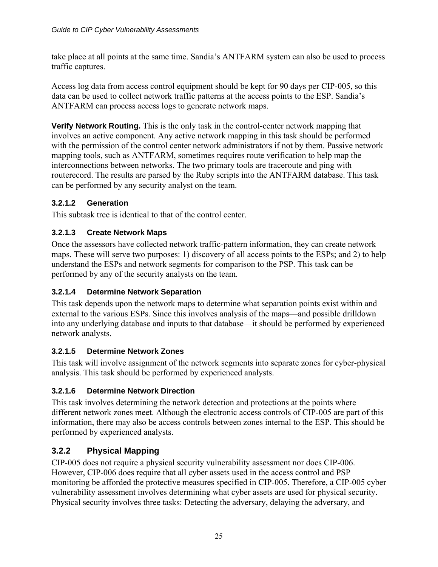<span id="page-24-0"></span>take place at all points at the same time. Sandia's ANTFARM system can also be used to process traffic captures.

Access log data from access control equipment should be kept for 90 days per CIP-005, so this data can be used to collect network traffic patterns at the access points to the ESP. Sandia's ANTFARM can process access logs to generate network maps.

**Verify Network Routing.** This is the only task in the control-center network mapping that involves an active component. Any active network mapping in this task should be performed with the permission of the control center network administrators if not by them. Passive network mapping tools, such as ANTFARM, sometimes requires route verification to help map the interconnections between networks. The two primary tools are traceroute and ping with routerecord. The results are parsed by the Ruby scripts into the ANTFARM database. This task can be performed by any security analyst on the team.

#### **3.2.1.2 Generation**

This subtask tree is identical to that of the control center.

#### **3.2.1.3 Create Network Maps**

Once the assessors have collected network traffic-pattern information, they can create network maps. These will serve two purposes: 1) discovery of all access points to the ESPs; and 2) to help understand the ESPs and network segments for comparison to the PSP. This task can be performed by any of the security analysts on the team.

#### **3.2.1.4 Determine Network Separation**

This task depends upon the network maps to determine what separation points exist within and external to the various ESPs. Since this involves analysis of the maps—and possible drilldown into any underlying database and inputs to that database—it should be performed by experienced network analysts.

#### **3.2.1.5 Determine Network Zones**

This task will involve assignment of the network segments into separate zones for cyber-physical analysis. This task should be performed by experienced analysts.

#### **3.2.1.6 Determine Network Direction**

This task involves determining the network detection and protections at the points where different network zones meet. Although the electronic access controls of CIP-005 are part of this information, there may also be access controls between zones internal to the ESP. This should be performed by experienced analysts.

## **3.2.2 Physical Mapping**

CIP-005 does not require a physical security vulnerability assessment nor does CIP-006. However, CIP-006 does require that all cyber assets used in the access control and PSP monitoring be afforded the protective measures specified in CIP-005. Therefore, a CIP-005 cyber vulnerability assessment involves determining what cyber assets are used for physical security. Physical security involves three tasks: Detecting the adversary, delaying the adversary, and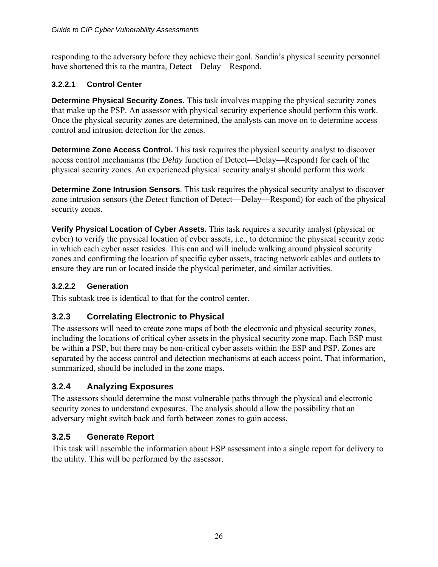<span id="page-25-0"></span>responding to the adversary before they achieve their goal. Sandia's physical security personnel have shortened this to the mantra, Detect—Delay—Respond.

#### **3.2.2.1 Control Center**

**Determine Physical Security Zones.** This task involves mapping the physical security zones that make up the PSP. An assessor with physical security experience should perform this work. Once the physical security zones are determined, the analysts can move on to determine access control and intrusion detection for the zones.

**Determine Zone Access Control.** This task requires the physical security analyst to discover access control mechanisms (the *Delay* function of Detect—Delay—Respond) for each of the physical security zones. An experienced physical security analyst should perform this work.

**Determine Zone Intrusion Sensors**. This task requires the physical security analyst to discover zone intrusion sensors (the *Detect* function of Detect—Delay—Respond) for each of the physical security zones.

**Verify Physical Location of Cyber Assets.** This task requires a security analyst (physical or cyber) to verify the physical location of cyber assets, i.e., to determine the physical security zone in which each cyber asset resides. This can and will include walking around physical security zones and confirming the location of specific cyber assets, tracing network cables and outlets to ensure they are run or located inside the physical perimeter, and similar activities.

#### **3.2.2.2 Generation**

This subtask tree is identical to that for the control center.

## **3.2.3 Correlating Electronic to Physical**

The assessors will need to create zone maps of both the electronic and physical security zones, including the locations of critical cyber assets in the physical security zone map. Each ESP must be within a PSP, but there may be non-critical cyber assets within the ESP and PSP. Zones are separated by the access control and detection mechanisms at each access point. That information, summarized, should be included in the zone maps.

## **3.2.4 Analyzing Exposures**

The assessors should determine the most vulnerable paths through the physical and electronic security zones to understand exposures. The analysis should allow the possibility that an adversary might switch back and forth between zones to gain access.

## **3.2.5 Generate Report**

This task will assemble the information about ESP assessment into a single report for delivery to the utility. This will be performed by the assessor.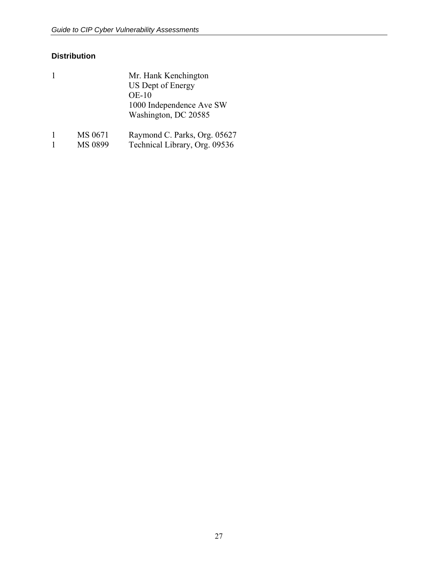#### **Distribution**

| 1 |         | Mr. Hank Kenchington<br>US Dept of Energy<br>$OE-10$<br>1000 Independence Ave SW<br>Washington, DC 20585 |
|---|---------|----------------------------------------------------------------------------------------------------------|
|   | MS 0671 | Raymond C. Parks, Org. 05627                                                                             |

1 MS 0899 Technical Library, Org. 09536